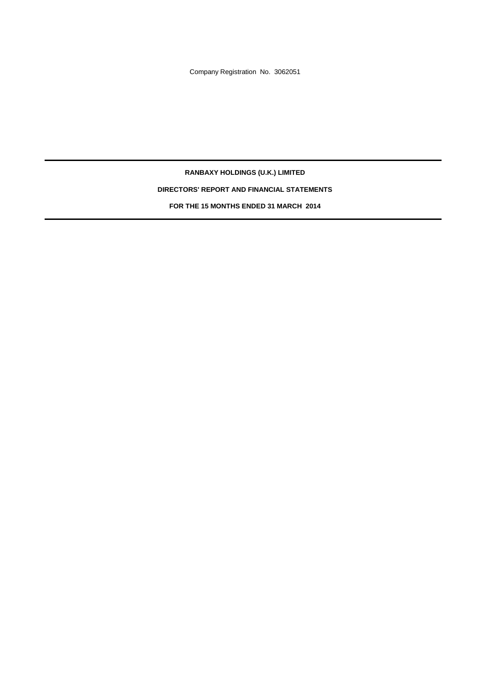Company Registration No. 3062051

**RANBAXY HOLDINGS (U.K.) LIMITED DIRECTORS' REPORT AND FINANCIAL STATEMENTS FOR THE 15 MONTHS ENDED 31 MARCH 2014**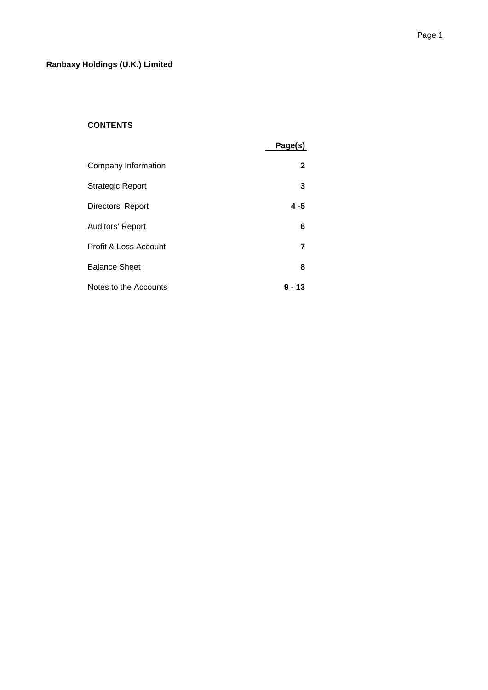# **CONTENTS**

|                         | Page(s) |
|-------------------------|---------|
| Company Information     | 2       |
| <b>Strategic Report</b> | 3       |
| Directors' Report       | 4 -5    |
| <b>Auditors' Report</b> | 6       |
| Profit & Loss Account   | 7       |
| <b>Balance Sheet</b>    | 8       |
| Notes to the Accounts   | 9 - 13  |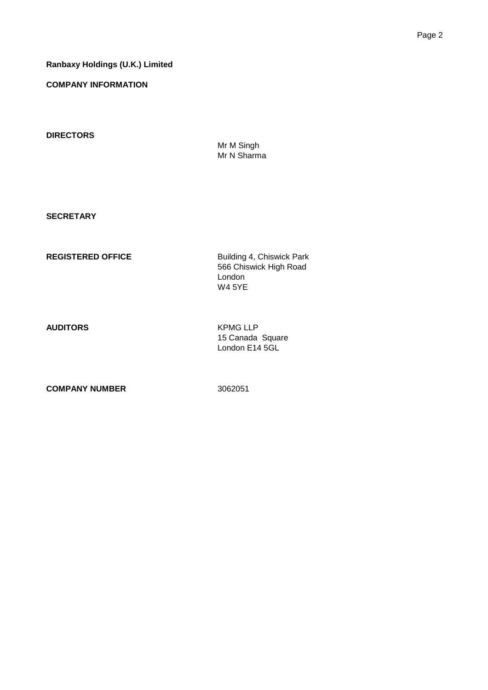**Ranbaxy Holdings (U.K.) Limited**

**COMPANY INFORMATION**

**DIRECTORS**

Mr M Singh Mr N Sharma

**SECRETARY**

**REGISTERED OFFICE** Building 4, Chiswick Park 566 Chiswick High Road London W4 5YE

**AUDITORS** KPMG LLP 15 Canada Square London E14 5GL

**COMPANY NUMBER** 3062051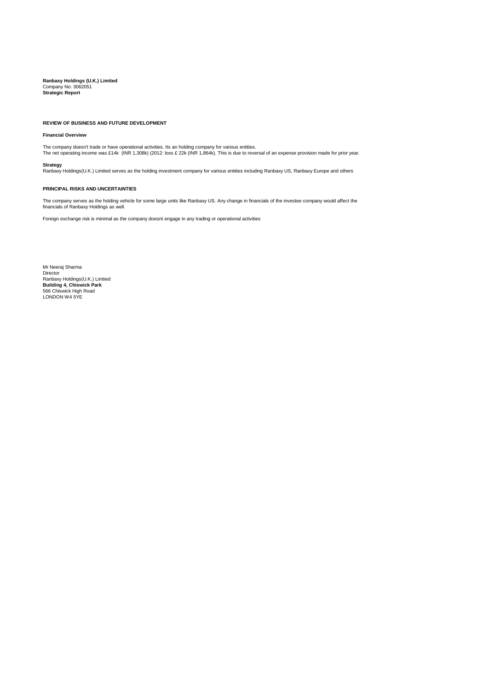**Ranbaxy Holdings (U.K.) Limited** Company No: 3062051 **Strategic Report**

### **REVIEW OF BUSINESS AND FUTURE DEVELOPMENT**

#### **Financial Overview**

The company doesn't trade or have operational activities. Its an holding company for various entities.<br>The net operating income was £14k (INR 1,308k) (2012: loss £ 22k (INR 1,864k). This is due to reversal of an expense p

**Strategy**<br>Ranbaxy Holdings(U.K.) Limited serves as the holding investment company for various entities including Ranbaxy US, Ranbaxy Europe and others

### **PRINCIPAL RISKS AND UNCERTAINTIES**

The company serves as the holding vehicle for some large units like Ranbaxy US. Any change in financials of the investee company would affect the financials of Ranbaxy Holdings as well.

Foreign exchange risk is minimal as the company doesnt engage in any trading or operational activities

Mr Neeraj Sharma Director<br>Ranbaxy Holdings(U.K.) Limtied<br>**Building 4, Chiswick Park<br>566 Chiswick High Road<br>LONDON W4 5YE**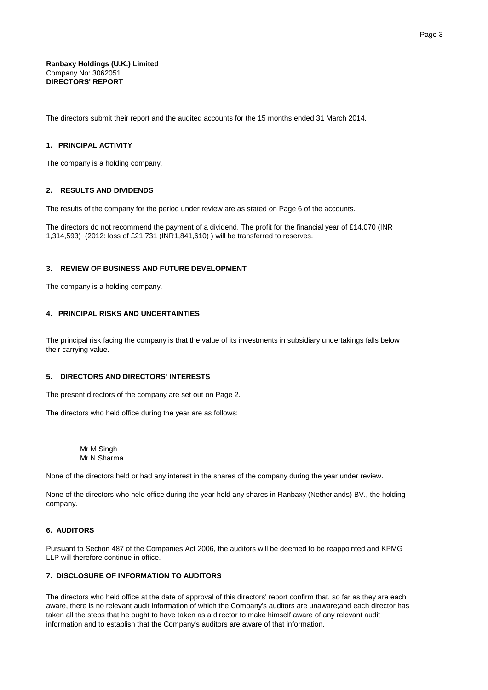**Ranbaxy Holdings (U.K.) Limited** Company No: 3062051 **DIRECTORS' REPORT**

The directors submit their report and the audited accounts for the 15 months ended 31 March 2014.

# **1. PRINCIPAL ACTIVITY**

The company is a holding company.

# **2. RESULTS AND DIVIDENDS**

The results of the company for the period under review are as stated on Page 6 of the accounts.

The directors do not recommend the payment of a dividend. The profit for the financial year of £14,070 (INR 1,314,593) (2012: loss of £21,731 (INR1,841,610) ) will be transferred to reserves.

# **3. REVIEW OF BUSINESS AND FUTURE DEVELOPMENT**

The company is a holding company.

# **4. PRINCIPAL RISKS AND UNCERTAINTIES**

The principal risk facing the company is that the value of its investments in subsidiary undertakings falls below their carrying value.

# **5. DIRECTORS AND DIRECTORS' INTERESTS**

The present directors of the company are set out on Page 2.

The directors who held office during the year are as follows:

Mr M Singh Mr N Sharma

None of the directors held or had any interest in the shares of the company during the year under review.

None of the directors who held office during the year held any shares in Ranbaxy (Netherlands) BV., the holding company.

# **6. AUDITORS**

Pursuant to Section 487 of the Companies Act 2006, the auditors will be deemed to be reappointed and KPMG LLP will therefore continue in office.

# **7. DISCLOSURE OF INFORMATION TO AUDITORS**

The directors who held office at the date of approval of this directors' report confirm that, so far as they are each aware, there is no relevant audit information of which the Company's auditors are unaware;and each director has taken all the steps that he ought to have taken as a director to make himself aware of any relevant audit information and to establish that the Company's auditors are aware of that information.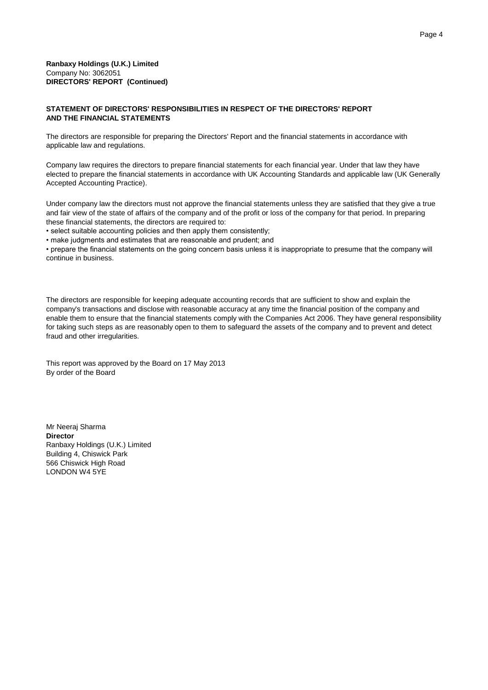# **STATEMENT OF DIRECTORS' RESPONSIBILITIES IN RESPECT OF THE DIRECTORS' REPORT AND THE FINANCIAL STATEMENTS**

The directors are responsible for preparing the Directors' Report and the financial statements in accordance with applicable law and regulations.

Company law requires the directors to prepare financial statements for each financial year. Under that law they have elected to prepare the financial statements in accordance with UK Accounting Standards and applicable law (UK Generally Accepted Accounting Practice).

Under company law the directors must not approve the financial statements unless they are satisfied that they give a true and fair view of the state of affairs of the company and of the profit or loss of the company for that period. In preparing these financial statements, the directors are required to:

• select suitable accounting policies and then apply them consistently;

• make judgments and estimates that are reasonable and prudent; and

• prepare the financial statements on the going concern basis unless it is inappropriate to presume that the company will continue in business.

The directors are responsible for keeping adequate accounting records that are sufficient to show and explain the company's transactions and disclose with reasonable accuracy at any time the financial position of the company and enable them to ensure that the financial statements comply with the Companies Act 2006. They have general responsibility for taking such steps as are reasonably open to them to safeguard the assets of the company and to prevent and detect fraud and other irregularities.

This report was approved by the Board on 17 May 2013 By order of the Board

Mr Neeraj Sharma **Director** Ranbaxy Holdings (U.K.) Limited Building 4, Chiswick Park 566 Chiswick High Road LONDON W4 5YE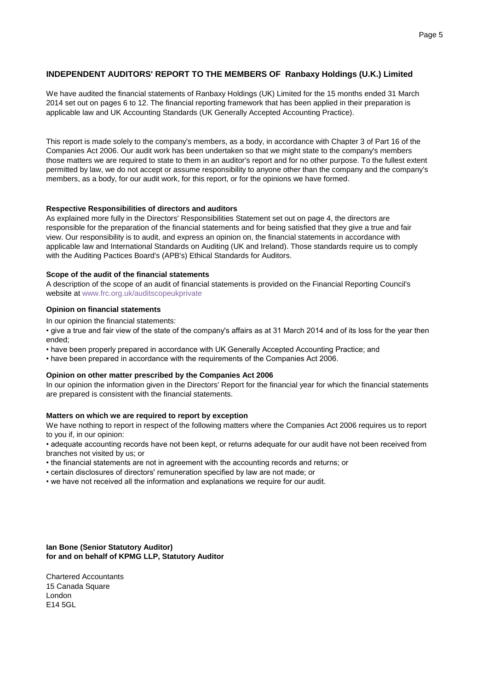# **INDEPENDENT AUDITORS' REPORT TO THE MEMBERS OF Ranbaxy Holdings (U.K.) Limited**

We have audited the financial statements of Ranbaxy Holdings (UK) Limited for the 15 months ended 31 March 2014 set out on pages 6 to 12. The financial reporting framework that has been applied in their preparation is applicable law and UK Accounting Standards (UK Generally Accepted Accounting Practice).

This report is made solely to the company's members, as a body, in accordance with Chapter 3 of Part 16 of the Companies Act 2006. Our audit work has been undertaken so that we might state to the company's members those matters we are required to state to them in an auditor's report and for no other purpose. To the fullest extent permitted by law, we do not accept or assume responsibility to anyone other than the company and the company's members, as a body, for our audit work, for this report, or for the opinions we have formed.

# **Respective Responsibilities of directors and auditors**

As explained more fully in the Directors' Responsibilities Statement set out on page 4, the directors are responsible for the preparation of the financial statements and for being satisfied that they give a true and fair view. Our responsibility is to audit, and express an opinion on, the financial statements in accordance with applicable law and International Standards on Auditing (UK and Ireland). Those standards require us to comply with the Auditing Pactices Board's (APB's) Ethical Standards for Auditors.

# **Scope of the audit of the financial statements**

A description of the scope of an audit of financial statements is provided on the Financial Reporting Council's website at www.frc.org.uk/auditscopeukprivate

# **Opinion on financial statements**

In our opinion the financial statements:

• give a true and fair view of the state of the company's affairs as at 31 March 2014 and of its loss for the year then ended;

- have been properly prepared in accordance with UK Generally Accepted Accounting Practice; and
- have been prepared in accordance with the requirements of the Companies Act 2006.

# **Opinion on other matter prescribed by the Companies Act 2006**

In our opinion the information given in the Directors' Report for the financial year for which the financial statements are prepared is consistent with the financial statements.

# **Matters on which we are required to report by exception**

We have nothing to report in respect of the following matters where the Companies Act 2006 requires us to report to you if, in our opinion:

• adequate accounting records have not been kept, or returns adequate for our audit have not been received from branches not visited by us; or

- the financial statements are not in agreement with the accounting records and returns; or
- certain disclosures of directors' remuneration specified by law are not made; or
- we have not received all the information and explanations we require for our audit.

**Ian Bone (Senior Statutory Auditor) for and on behalf of KPMG LLP, Statutory Auditor**

Chartered Accountants 15 Canada Square London E14 5GL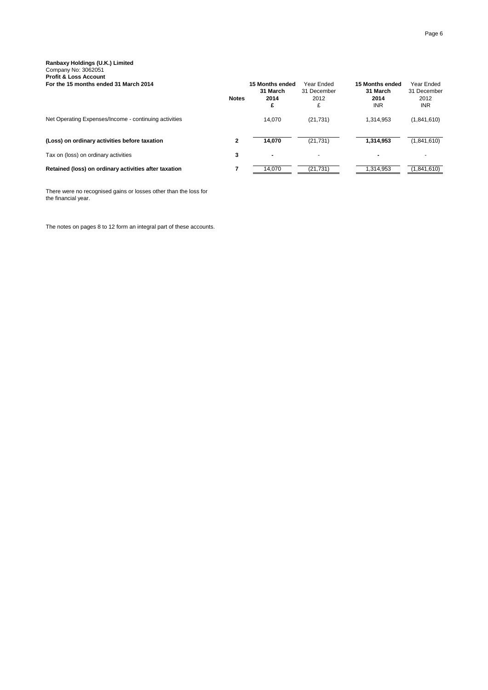# **Ranbaxy Holdings (U.K.) Limited** Company No: 3062051 **Profit & Loss Account**

| For the 15 months ended 31 March 2014                 | <b>Notes</b> | 15 Months ended<br>31 March<br>2014<br>£ | Year Ended<br>31 December<br>2012 | 15 Months ended<br>31 March<br>2014<br><b>INR</b> | Year Ended<br>31 December<br>2012<br><b>INR</b> |
|-------------------------------------------------------|--------------|------------------------------------------|-----------------------------------|---------------------------------------------------|-------------------------------------------------|
| Net Operating Expenses/Income - continuing activities |              | 14.070                                   | (21, 731)                         | 1.314.953                                         | (1,841,610)                                     |
| (Loss) on ordinary activities before taxation         | 2            | 14,070                                   | (21, 731)                         | 1,314,953                                         | (1,841,610)                                     |
| Tax on (loss) on ordinary activities                  | 3            | $\,$                                     | $\overline{\phantom{0}}$          |                                                   |                                                 |
| Retained (loss) on ordinary activities after taxation |              | 14,070                                   | (21, 731)                         | 1,314,953                                         | (1,841,610)                                     |

There were no recognised gains or losses other than the loss for the financial year.

The notes on pages 8 to 12 form an integral part of these accounts.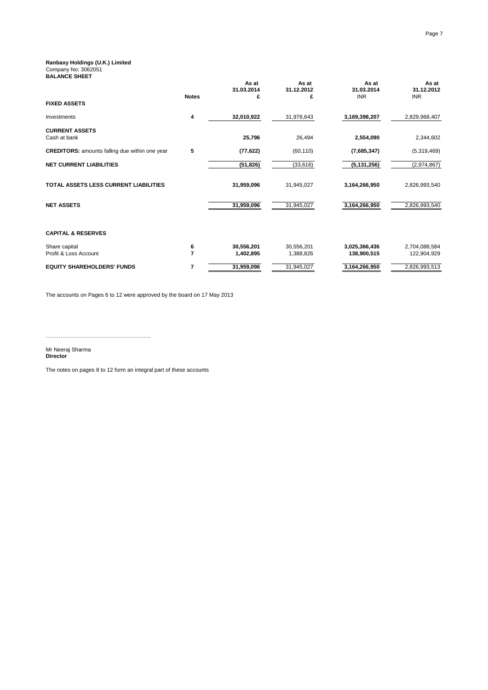### **Ranbaxy Holdings (U.K.) Limited** Company No: 3062051 **BALANCE SHEET**

|                                                       |                     | As at<br>31.03.2014     | As at<br>31.12.2012     | As at<br>31.03.2014          | As at<br>31.12.2012          |
|-------------------------------------------------------|---------------------|-------------------------|-------------------------|------------------------------|------------------------------|
| <b>FIXED ASSETS</b>                                   | <b>Notes</b>        | £                       | £                       | <b>INR</b>                   | <b>INR</b>                   |
| Investments                                           | 4                   | 32,010,922              | 31,978,643              | 3,169,398,207                | 2,829,968,407                |
| <b>CURRENT ASSETS</b><br>Cash at bank                 |                     | 25,796                  | 26,494                  | 2,554,090                    | 2,344,602                    |
| <b>CREDITORS:</b> amounts falling due within one year | 5                   | (77, 622)               | (60, 110)               | (7,685,347)                  | (5,319,469)                  |
| <b>NET CURRENT LIABILITIES</b>                        |                     | (51, 826)               | (33, 616)               | (5, 131, 256)                | (2,974,867)                  |
| <b>TOTAL ASSETS LESS CURRENT LIABILITIES</b>          |                     | 31,959,096              | 31,945,027              | 3,164,266,950                | 2,826,993,540                |
| <b>NET ASSETS</b>                                     |                     | 31,959,096              | 31,945,027              | 3,164,266,950                | 2,826,993,540                |
| <b>CAPITAL &amp; RESERVES</b>                         |                     |                         |                         |                              |                              |
| Share capital<br>Profit & Loss Account                | 6<br>$\overline{7}$ | 30,556,201<br>1,402,895 | 30,556,201<br>1,388,826 | 3,025,366,436<br>138,900,515 | 2,704,088,584<br>122,904,929 |
| <b>EQUITY SHAREHOLDERS' FUNDS</b>                     | 7                   | 31,959,096              | 31,945,027              | 3,164,266,950                | 2,826,993,513                |

The accounts on Pages 6 to 12 were approved by the board on 17 May 2013

…………………………………………………

Mr Neeraj Sharma **Director**

The notes on pages 8 to 12 form an integral part of these accounts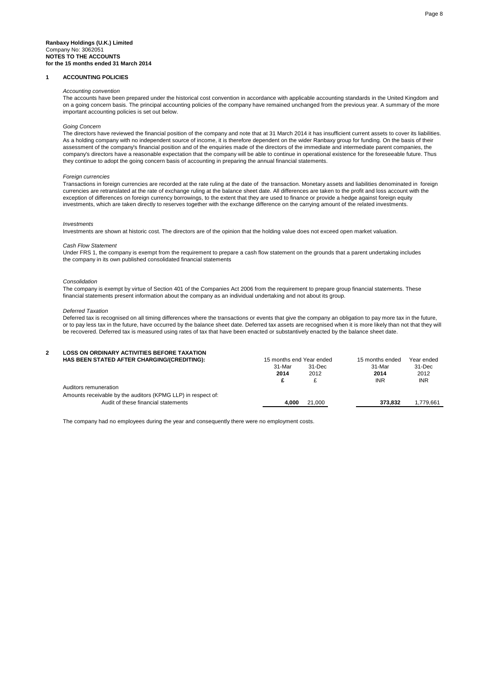### **1 ACCOUNTING POLICIES**

#### *Accounting convention*

The accounts have been prepared under the historical cost convention in accordance with applicable accounting standards in the United Kingdom and on a going concern basis. The principal accounting policies of the company have remained unchanged from the previous year. A summary of the more important accounting policies is set out below.

### *Going Concern*

The directors have reviewed the financial position of the company and note that at 31 March 2014 it has insufficient current assets to cover its liabilities. As a holding company with no independent source of income, it is therefore dependent on the wider Ranbaxy group for funding. On the basis of their assessment of the company's financial position and of the enquiries made of the directors of the immediate and intermediate parent companies, the company's directors have a reasonable expectation that the company will be able to continue in operational existence for the foreseeable future. Thus they continue to adopt the going concern basis of accounting in preparing the annual financial statements.

### *Foreign currencies*

Transactions in foreign currencies are recorded at the rate ruling at the date of the transaction. Monetary assets and liabilities denominated in foreign currencies are retranslated at the rate of exchange ruling at the balance sheet date. All differences are taken to the profit and loss account with the exception of differences on foreign currency borrowings, to the extent that they are used to finance or provide a hedge against foreign equity investments, which are taken directly to reserves together with the exchange difference on the carrying amount of the related investments.

#### *Investments*

Investments are shown at historic cost. The directors are of the opinion that the holding value does not exceed open market valuation.

### *Cash Flow Statement*

the company in its own published consolidated financial statements Under FRS 1, the company is exempt from the requirement to prepare a cash flow statement on the grounds that a parent undertaking includes

#### *Consolidation*

The company is exempt by virtue of Section 401 of the Companies Act 2006 from the requirement to prepare group financial statements. These financial statements present information about the company as an individual undertaking and not about its group.

#### *Deferred Taxation*

Deferred tax is recognised on all timing differences where the transactions or events that give the company an obligation to pay more tax in the future, or to pay less tax in the future, have occurred by the balance sheet date. Deferred tax assets are recognised when it is more likely than not that they will be recovered. Deferred tax is measured using rates of tax that have been enacted or substantively enacted by the balance sheet date.

#### **2 LOSS ON ORDINARY ACTIVITIES BEFORE TAXATION HAS BEEN STATED AFTER CHARGING/(CREDITING):** 15 months endedYear ended 15 months ended Year ended

| <u>HAG BEEN GIATED AFTER GIARGING (GREDHING).</u>            | וס וווטוויוס טווס וטמו טווסטיו |        | וט וווטווט טוועט | .          |
|--------------------------------------------------------------|--------------------------------|--------|------------------|------------|
|                                                              | 31-Mar                         | 31-Dec | 31-Mar           | 31-Dec     |
|                                                              | 2014                           | 2012   | 2014             | 2012       |
|                                                              |                                |        | <b>INR</b>       | <b>INR</b> |
| Auditors remuneration                                        |                                |        |                  |            |
| Amounts receivable by the auditors (KPMG LLP) in respect of: |                                |        |                  |            |
| Audit of these financial statements                          | 4.000                          | 21.000 | 373.832          | 1.779.661  |
|                                                              |                                |        |                  |            |

The company had no employees during the year and consequently there were no employment costs.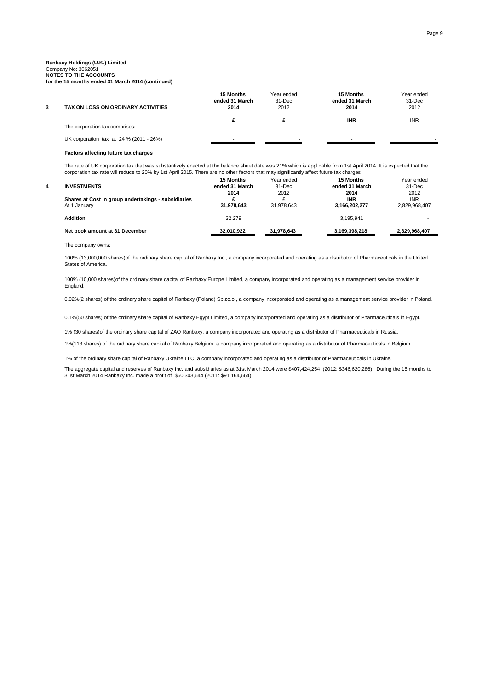#### **Ranbaxy Holdings (U.K.) Limited** Company No: 3062051 **NOTES TO THE ACCOUNTS for the 15 months ended 31 March 2014 (continued)**

| TAX ON LOSS ON ORDINARY ACTIVITIES      | 15 Months<br>ended 31 March<br>2014 | Year ended<br>31-Dec<br>2012 | 15 Months<br>ended 31 March<br>2014 | Year ended<br>31-Dec<br>2012 |
|-----------------------------------------|-------------------------------------|------------------------------|-------------------------------------|------------------------------|
| The corporation tax comprises:-         |                                     | c                            | <b>INR</b>                          | <b>INR</b>                   |
| UK corporation tax at 24 % (2011 - 26%) | $\overline{\phantom{a}}$            | $\overline{\phantom{a}}$     |                                     |                              |

### **Factors affecting future tax charges**

The rate of UK corporation tax that was substantively enacted at the balance sheet date was 21% which is applicable from 1st April 2014. It is expected that the corporation tax rate will reduce to 20% by 1st April 2015. There are no other factors that may significantly affect future tax charges

| 4 | <b>INVESTMENTS</b>                                                  | 15 Months<br>ended 31 March<br>2014 | Year ended<br>$31 - Dec$<br>2012 | 15 Months<br>ended 31 March<br>2014 | Year ended<br>31-Dec<br>2012 |
|---|---------------------------------------------------------------------|-------------------------------------|----------------------------------|-------------------------------------|------------------------------|
|   | Shares at Cost in group undertakings - subsidiaries<br>At 1 January | 31.978.643                          | 31.978.643                       | <b>INR</b><br>3.166.202.277         | <b>INR</b><br>2.829.968.407  |
|   | <b>Addition</b>                                                     | 32.279                              |                                  | 3.195.941                           |                              |
|   | Net book amount at 31 December                                      | 32,010,922                          | 31.978.643                       | 3,169,398,218                       | 2,829,968,407                |

The company owns:

100% (13,000,000 shares)of the ordinary share capital of Ranbaxy Inc., a company incorporated and operating as a distributor of Pharmaceuticals in the United States of America.

100% (10,000 shares)of the ordinary share capital of Ranbaxy Europe Limited, a company incorporated and operating as a management service provider in England.

0.02%(2 shares) of the ordinary share capital of Ranbaxy (Poland) Sp.zo.o., a company incorporated and operating as a management service provider in Poland.

0.1%(50 shares) of the ordinary share capital of Ranbaxy Egypt Limited, a company incorporated and operating as a distributor of Pharmaceuticals in Egypt.

1% (30 shares)of the ordinary share capital of ZAO Ranbaxy, a company incorporated and operating as a distributor of Pharmaceuticals in Russia.

1%(113 shares) of the ordinary share capital of Ranbaxy Belgium, a company incorporated and operating as a distributor of Pharmaceuticals in Belgium.

1% of the ordinary share capital of Ranbaxy Ukraine LLC, a company incorporated and operating as a distributor of Pharmaceuticals in Ukraine.

The aggregate capital and reserves of Ranbaxy Inc. and subsidiaries as at 31st March 2014 were \$407,424,254 (2012: \$346,620,286). During the 15 months to<br>31st March 2014 Ranbaxy Inc. made a profit of \$60,303,644 (2011: \$9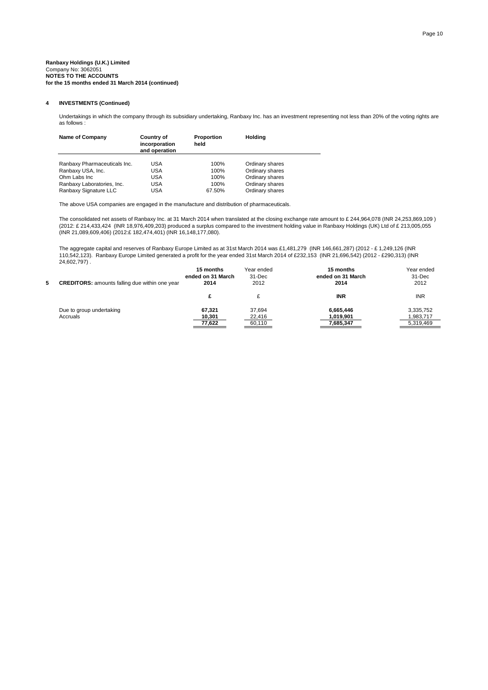# **4 INVESTMENTS (Continued)**

Undertakings in which the company through its subsidiary undertaking, Ranbaxy Inc. has an investment representing not less than 20% of the voting rights are as follows :

| <b>Name of Company</b>       | Country of<br>incorporation<br>and operation | <b>Proportion</b><br>held | Holdina         |  |
|------------------------------|----------------------------------------------|---------------------------|-----------------|--|
| Ranbaxy Pharmaceuticals Inc. | USA                                          | 100%                      | Ordinary shares |  |
| Ranbaxy USA, Inc.            | USA                                          | 100%                      | Ordinary shares |  |
| Ohm Labs Inc                 | USA                                          | 100%                      | Ordinary shares |  |
| Ranbaxy Laboratories, Inc.   | USA                                          | 100%                      | Ordinary shares |  |
| Ranbaxy Signature LLC        | USA                                          | 67.50%                    | Ordinary shares |  |

The above USA companies are engaged in the manufacture and distribution of pharmaceuticals.

The consolidated net assets of Ranbaxy Inc. at 31 March 2014 when translated at the closing exchange rate amount to £ 244,964,078 (INR 24,253,869,109 ) (2012: £ 214,433,424 (INR 18,976,409,203) produced a surplus compared to the investment holding value in Ranbaxy Holdings (UK) Ltd of £ 213,005,055 (INR 21,089,609,406) (2012:£ 182,474,401) (INR 16,148,177,080).

The aggregate capital and reserves of Ranbaxy Europe Limited as at 31st March 2014 was £1,481,279 (INR 146,661,287) (2012 - £ 1,249,126 (INR 110,542,123). Ranbaxy Europe Limited generated a profit for the year ended 31st March 2014 of £232,153 (INR 21,696,542) (2012 - £290,313) (INR 24,602,797) .

| 5 | <b>CREDITORS:</b> amounts falling due within one year | 15 months<br>ended on 31 March<br>2014 | Year ended<br>31-Dec<br>2012 | 15 months<br>ended on 31 March<br>2014 | Year ended<br>31-Dec<br>2012 |
|---|-------------------------------------------------------|----------------------------------------|------------------------------|----------------------------------------|------------------------------|
|   |                                                       |                                        |                              | <b>INR</b>                             | <b>INR</b>                   |
|   | Due to group undertaking                              | 67.321                                 | 37.694                       | 6.665.446                              | 3.335.752                    |
|   | Accruals                                              | 10,301                                 | 22,416                       | 1,019,901                              | 1,983,717                    |
|   |                                                       | 77.622                                 | 60.110                       | 7,685,347                              | 5.319.469                    |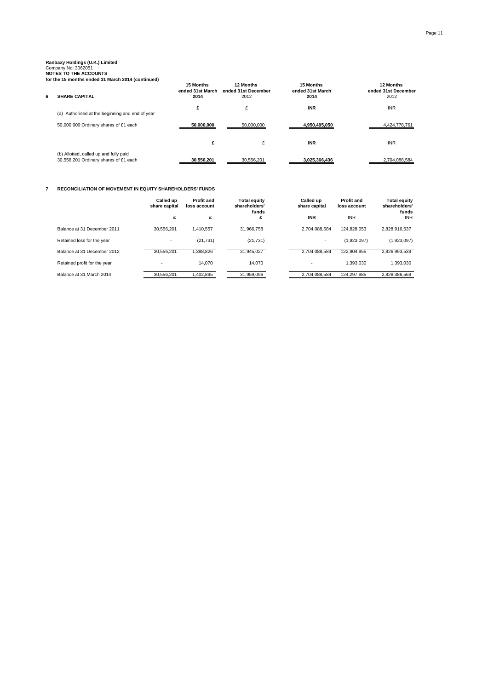Ranbaxy Holdings (U.K.) Limited<br>Company No: 3062051<br>NOTES TO THE ACCOUNTS<br>for the 15 months ended 31 March 2014 (continued)

| 6 | <b>SHARE CAPITAL</b>                                                            | 15 Months<br>ended 31st March<br>2014 | 12 Months<br>ended 31st December<br>2012 | 15 Months<br>ended 31st March<br>2014 | 12 Months<br>ended 31st December<br>2012 |
|---|---------------------------------------------------------------------------------|---------------------------------------|------------------------------------------|---------------------------------------|------------------------------------------|
|   | (a) Authorised at the beginning and end of year                                 | £                                     | £                                        | <b>INR</b>                            | <b>INR</b>                               |
|   | 50,000,000 Ordinary shares of £1 each                                           | 50.000.000                            | 50,000,000                               | 4,950,495,050                         | 4,424,778,761                            |
|   |                                                                                 | £                                     | £                                        | <b>INR</b>                            | <b>INR</b>                               |
|   | (b) Allotted, called up and fully paid<br>30,556,201 Ordinary shares of £1 each | 30,556,201                            | 30.556.201                               | 3,025,366,436                         | 2.704.088.584                            |

# **7 RECONCILIATION OF MOVEMENT IN EQUITY SHAREHOLDERS' FUNDS**

|                              | Called up<br>share capital | <b>Profit and</b><br>loss account | <b>Total equity</b><br>shareholders'<br>funds | Called up<br>share capital | <b>Profit and</b><br>loss account | <b>Total equity</b><br>shareholders'<br>funds |
|------------------------------|----------------------------|-----------------------------------|-----------------------------------------------|----------------------------|-----------------------------------|-----------------------------------------------|
|                              | £                          | £                                 | ç                                             | <b>INR</b>                 | <b>INR</b>                        | <b>INR</b>                                    |
| Balance at 31 December 2011  | 30.556.201                 | 1.410.557                         | 31.966.758                                    | 2.704.088.584              | 124.828.053                       | 2.828.916.637                                 |
| Retained loss for the year   | $\overline{\phantom{a}}$   | (21, 731)                         | (21, 731)                                     | ۰                          | (1,923,097)                       | (1,923,097)                                   |
| Balance at 31 December 2012  | 30.556.201                 | 1.388.826                         | 31.945.027                                    | 2.704.088.584              | 122.904.955                       | 2,826,993,539                                 |
| Retained profit for the year | $\overline{\phantom{a}}$   | 14.070                            | 14.070                                        | $\sim$                     | 1.393.030                         | 1.393.030                                     |
| Balance at 31 March 2014     | 30,556,201                 | ,402,895                          | 31,959,096                                    | 2,704,088,584              | 124.297.985                       | 2,828,386,569                                 |